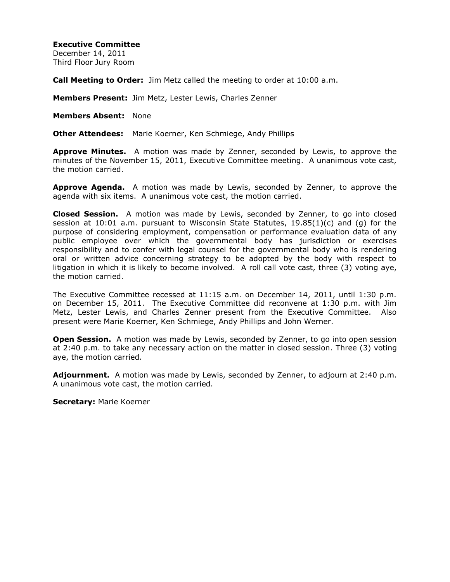**Executive Committee**

December 14, 2011 Third Floor Jury Room

**Call Meeting to Order:** Jim Metz called the meeting to order at 10:00 a.m.

**Members Present:** Jim Metz, Lester Lewis, Charles Zenner

**Members Absent:** None

**Other Attendees:** Marie Koerner, Ken Schmiege, Andy Phillips

**Approve Minutes.** A motion was made by Zenner, seconded by Lewis, to approve the minutes of the November 15, 2011, Executive Committee meeting. A unanimous vote cast, the motion carried.

**Approve Agenda.** A motion was made by Lewis, seconded by Zenner, to approve the agenda with six items. A unanimous vote cast, the motion carried.

**Closed Session.** A motion was made by Lewis, seconded by Zenner, to go into closed session at 10:01 a.m. pursuant to Wisconsin State Statutes,  $19.85(1)(c)$  and (g) for the purpose of considering employment, compensation or performance evaluation data of any public employee over which the governmental body has jurisdiction or exercises responsibility and to confer with legal counsel for the governmental body who is rendering oral or written advice concerning strategy to be adopted by the body with respect to litigation in which it is likely to become involved. A roll call vote cast, three (3) voting aye, the motion carried.

The Executive Committee recessed at 11:15 a.m. on December 14, 2011, until 1:30 p.m. on December 15, 2011. The Executive Committee did reconvene at 1:30 p.m. with Jim Metz, Lester Lewis, and Charles Zenner present from the Executive Committee. Also present were Marie Koerner, Ken Schmiege, Andy Phillips and John Werner.

**Open Session.** A motion was made by Lewis, seconded by Zenner, to go into open session at 2:40 p.m. to take any necessary action on the matter in closed session. Three (3) voting aye, the motion carried.

**Adjournment.** A motion was made by Lewis, seconded by Zenner, to adjourn at 2:40 p.m. A unanimous vote cast, the motion carried.

**Secretary:** Marie Koerner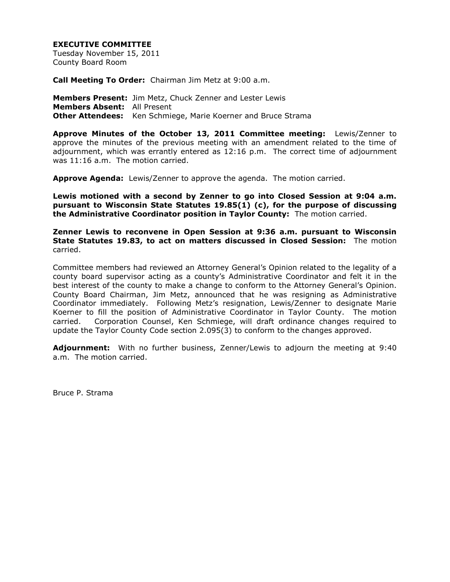## **EXECUTIVE COMMITTEE**

Tuesday November 15, 2011 County Board Room

**Call Meeting To Order:** Chairman Jim Metz at 9:00 a.m.

**Members Present:** Jim Metz, Chuck Zenner and Lester Lewis **Members Absent:** All Present **Other Attendees:** Ken Schmiege, Marie Koerner and Bruce Strama

**Approve Minutes of the October 13, 2011 Committee meeting:** Lewis/Zenner to approve the minutes of the previous meeting with an amendment related to the time of adjournment, which was errantly entered as 12:16 p.m. The correct time of adjournment was 11:16 a.m. The motion carried.

**Approve Agenda:** Lewis/Zenner to approve the agenda. The motion carried.

**Lewis motioned with a second by Zenner to go into Closed Session at 9:04 a.m. pursuant to Wisconsin State Statutes 19.85(1) (c), for the purpose of discussing the Administrative Coordinator position in Taylor County:** The motion carried.

**Zenner Lewis to reconvene in Open Session at 9:36 a.m. pursuant to Wisconsin State Statutes 19.83, to act on matters discussed in Closed Session:** The motion carried.

Committee members had reviewed an Attorney General's Opinion related to the legality of a county board supervisor acting as a county's Administrative Coordinator and felt it in the best interest of the county to make a change to conform to the Attorney General's Opinion. County Board Chairman, Jim Metz, announced that he was resigning as Administrative Coordinator immediately. Following Metz's resignation, Lewis/Zenner to designate Marie Koerner to fill the position of Administrative Coordinator in Taylor County. The motion carried. Corporation Counsel, Ken Schmiege, will draft ordinance changes required to update the Taylor County Code section 2.095(3) to conform to the changes approved.

**Adjournment:** With no further business, Zenner/Lewis to adjourn the meeting at 9:40 a.m. The motion carried.

Bruce P. Strama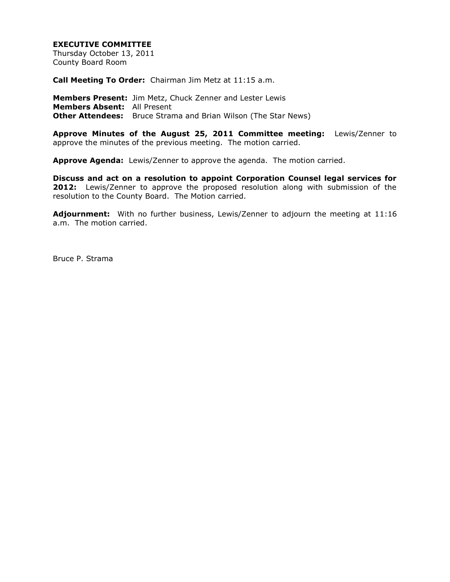## **EXECUTIVE COMMITTEE**

Thursday October 13, 2011 County Board Room

**Call Meeting To Order:** Chairman Jim Metz at 11:15 a.m.

**Members Present:** Jim Metz, Chuck Zenner and Lester Lewis **Members Absent:** All Present **Other Attendees:** Bruce Strama and Brian Wilson (The Star News)

**Approve Minutes of the August 25, 2011 Committee meeting:** Lewis/Zenner to approve the minutes of the previous meeting. The motion carried.

**Approve Agenda:** Lewis/Zenner to approve the agenda. The motion carried.

**Discuss and act on a resolution to appoint Corporation Counsel legal services for 2012:** Lewis/Zenner to approve the proposed resolution along with submission of the resolution to the County Board. The Motion carried.

**Adjournment:** With no further business, Lewis/Zenner to adjourn the meeting at 11:16 a.m. The motion carried.

Bruce P. Strama